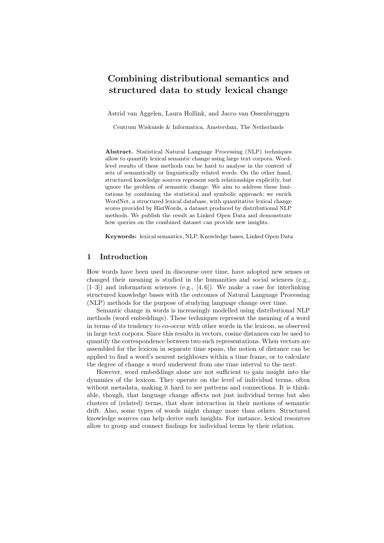# Combining distributional semantics and structured data to study lexical change

Astrid van Aggelen, Laura Hollink, and Jacco van Ossenbruggen

Centrum Wiskunde & Informatica, Amsterdam, The Netherlands

Abstract. Statistical Natural Language Processing (NLP) techniques allow to quantify lexical semantic change using large text corpora. Wordlevel results of these methods can be hard to analyse in the context of sets of semantically or linguistically related words. On the other hand, structured knowledge sources represent such relationships explicitly, but ignore the problem of semantic change. We aim to address these limitations by combining the statistical and symbolic approach: we enrich WordNet, a structured lexical database, with quantitative lexical change scores provided by HistWords, a dataset produced by distributional NLP methods. We publish the result as Linked Open Data and demonstrate how queries on the combined dataset can provide new insights.

Keywords: lexical semantics, NLP, Knowledge bases, Linked Open Data

# 1 Introduction

How words have been used in discourse over time, have adopted new senses or changed their meaning is studied in the humanities and social sciences (e.g.,  $[1-3]$ ) and information sciences (e.g.,  $[4, 6]$ ). We make a case for interlinking structured knowledge bases with the outcomes of Natural Language Processing (NLP) methods for the purpose of studying language change over time.

Semantic change in words is increasingly modelled using distributional NLP methods (word embeddings). These techniques represent the meaning of a word in terms of its tendency to co-occur with other words in the lexicon, as observed in large text corpora. Since this results in vectors, cosine distances can be used to quantify the correspondence between two such representations. When vectors are assembled for the lexicon in separate time spans, the notion of distance can be applied to find a word's nearest neighbours within a time frame, or to calculate the degree of change a word underwent from one time interval to the next.

However, word embeddings alone are not sufficient to gain insight into the dynamics of the lexicon. They operate on the level of individual terms, often without metadata, making it hard to see patterns and connections. It is thinkable, though, that language change affects not just individual terms but also clusters of (related) terms, that show interaction in their motions of semantic drift. Also, some types of words might change more than others. Structured knowledge sources can help derive such insights. For instance, lexical resources allow to group and connect findings for individual terms by their relation.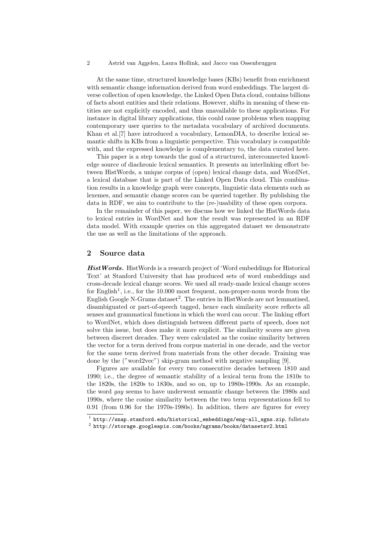At the same time, structured knowledge bases (KBs) benefit from enrichment with semantic change information derived from word embeddings. The largest diverse collection of open knowledge, the Linked Open Data cloud, contains billions of facts about entities and their relations. However, shifts in meaning of these entities are not explicitly encoded, and thus unavailable to these applications. For instance in digital library applications, this could cause problems when mapping contemporary user queries to the metadata vocabulary of archived documents. Khan et al.[7] have introduced a vocabulary, LemonDIA, to describe lexical semantic shifts in KBs from a linguistic perspective. This vocabulary is compatible with, and the expressed knowledge is complementary to, the data curated here.

This paper is a step towards the goal of a structured, interconnected knowledge source of diachronic lexical semantics. It presents an interlinking effort between HistWords, a unique corpus of (open) lexical change data, and WordNet, a lexical database that is part of the Linked Open Data cloud. This combination results in a knowledge graph were concepts, linguistic data elements such as lexemes, and semantic change scores can be queried together. By publishing the data in RDF, we aim to contribute to the (re-)usability of these open corpora.

In the remainder of this paper, we discuss how we linked the HistWords data to lexical entries in WordNet and how the result was represented in an RDF data model. With example queries on this aggregated dataset we demonstrate the use as well as the limitations of the approach.

## 2 Source data

HistWords. HistWords is a research project of 'Word embeddings for Historical Text' at Stanford University that has produced sets of word embeddings and cross-decade lexical change scores. We used all ready-made lexical change scores for English<sup>1</sup>, i.e., for the 10.000 most frequent, non-proper-noun words from the English Google N-Grams dataset<sup>2</sup>. The entries in HistWords are not lemmatised, disambiguated or part-of-speech tagged, hence each similarity score reflects all senses and grammatical functions in which the word can occur. The linking effort to WordNet, which does distinguish between different parts of speech, does not solve this issue, but does make it more explicit. The similarity scores are given between discreet decades. They were calculated as the cosine similarity between the vector for a term derived from corpus material in one decade, and the vector for the same term derived from materials from the other decade. Training was done by the ("word2vec") skip-gram method with negative sampling [9].

Figures are available for every two consecutive decades between 1810 and 1990; i.e., the degree of semantic stability of a lexical term from the 1810s to the 1820s, the 1820s to 1830s, and so on, up to 1980s-1990s. As an example, the word gay seems to have underwent semantic change between the 1980s and 1990s, where the cosine similarity between the two term representations fell to 0.91 (from 0.96 for the 1970s-1980s). In addition, there are figures for every

 $^1$  http://snap.stanford.edu/historical\_embeddings/eng-all\_sgns.zip, fullstats

 $^{\rm 2}$  http://storage.googleapis.com/books/ngrams/books/datasetsv $2.$ html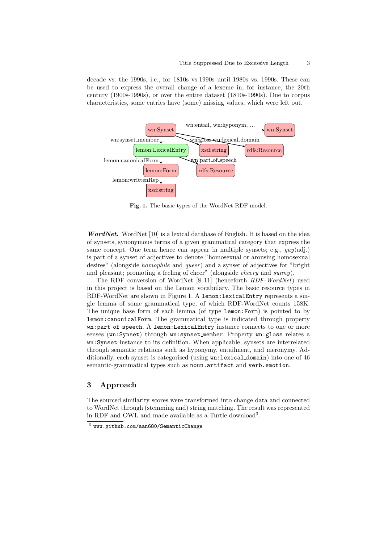decade vs. the 1990s, i.e., for 1810s vs.1990s until 1980s vs. 1990s. These can be used to express the overall change of a lexeme in, for instance, the 20th century (1900s-1990s), or over the entire dataset (1810s-1990s). Due to corpus characteristics, some entries have (some) missing values, which were left out.



Fig. 1. The basic types of the WordNet RDF model.

**WordNet.** WordNet  $[10]$  is a lexical database of English. It is based on the idea of synsets, synonymous terms of a given grammatical category that express the same concept. One term hence can appear in multiple synsets; e.g.,  $\frac{gay(\text{adj.})}{gay(\text{adj.})}$ is part of a synset of adjectives to denote "homosexual or arousing homosexual desires" (alongside *homophile* and *queer*) and a synset of adjectives for "bright" and pleasant; promoting a feeling of cheer" (alongside cheery and sunny).

The RDF conversion of WordNet [8, 11] (henceforth RDF-WordNet) used in this project is based on the Lemon vocabulary. The basic resource types in RDF-WordNet are shown in Figure 1. A lemon:lexicalEntry represents a single lemma of some grammatical type, of which RDF-WordNet counts 158K. The unique base form of each lemma (of type Lemon:Form) is pointed to by lemon:canonicalForm. The grammatical type is indicated through property wn:part of speech. A lemon:LexicalEntry instance connects to one or more senses (wn:Synset) through wn:synset member. Property wn:gloss relates a wn:Synset instance to its definition. When applicable, synsets are interrelated through semantic relations such as hyponymy, entailment, and meronymy. Additionally, each synset is categorised (using wn:lexical domain) into one of 46 semantic-grammatical types such as noun.artifact and verb.emotion.

# 3 Approach

The sourced similarity scores were transformed into change data and connected to WordNet through (stemming and) string matching. The result was represented in RDF and OWL and made available as a Turtle download<sup>3</sup> .

 $^3$  www.github.com/aan680/SemanticChange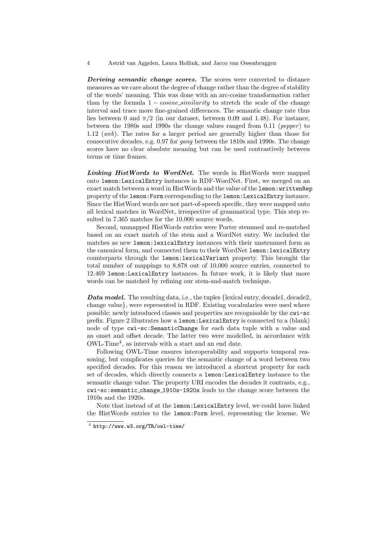4 Astrid van Aggelen, Laura Hollink, and Jacco van Ossenbruggen

Deriving semantic change scores. The scores were converted to distance measures as we care about the degree of change rather than the degree of stability of the words' meaning. This was done with an arc-cosine transformation rather than by the formula  $1 - cosine\text{-}similarity$  to stretch the scale of the change interval and trace more fine-grained differences. The semantic change rate thus lies between 0 and  $\pi/2$  (in our dataset, between 0.09 and 1.48). For instance, between the 1980s and 1990s the change values ranged from  $0.11$  (*pepper*) to 1.12 (web). The rates for a larger period are generally higher than those for consecutive decades, e.g. 0.97 for gang between the 1810s and 1990s. The change scores have no clear absolute meaning but can be used contrastively between terms or time frames.

Linking HistWords to WordNet. The words in HistWords were mapped onto lemon:LexicalEntry instances in RDF-WordNet. First, we merged on an exact match between a word in HistWords and the value of the lemon:writtenRep property of the lemon:Form corresponding to the lemon:LexicalEntry instance. Since the HistWord words are not part-of-speech specific, they were mapped onto all lexical matches in WordNet, irrespective of grammatical type. This step resulted in 7.365 matches for the 10.000 source words.

Second, unmapped HistWords entries were Porter stemmed and re-matched based on an exact match of the stem and a WordNet entry. We included the matches as new lemon:lexicalEntry instances with their unstemmed form as the canonical form, and connected them to their WordNet lemon:lexicalEntry counterparts through the lemon:lexicalVariant property. This brought the total number of mappings to 8.878 out of 10.000 source entries, connected to 12.469 lemon:LexicalEntry instances. In future work, it is likely that more words can be matched by refining our stem-and-match technique.

Data model. The resulting data, i.e., the tuples {lexical entry, decade1, decade2, change value}, were represented in RDF. Existing vocabularies were used where possible; newly introduced classes and properties are recognisable by the cwi-sc prefix. Figure 2 illustrates how a lemon:LexicalEntry is connected to a (blank) node of type cwi-sc:SemanticChange for each data tuple with a value and an onset and offset decade. The latter two were modelled, in accordance with OWL-Time<sup>4</sup> , as intervals with a start and an end date.

Following OWL-Time ensures interoperability and supports temporal reasoning, but complicates queries for the semantic change of a word between two specified decades. For this reason we introduced a shortcut property for each set of decades, which directly connects a lemon:LexicalEntry instance to the semantic change value. The property URI encodes the decades it contrasts, e.g., cwi-sc:semantic change 1910s-1920s leads to the change score between the 1910s and the 1920s.

Note that instead of at the lemon:LexicalEntry level, we could have linked the HistWords entries to the lemon:Form level, representing the lexeme. We

<sup>4</sup> http://www.w3.org/TR/owl-time/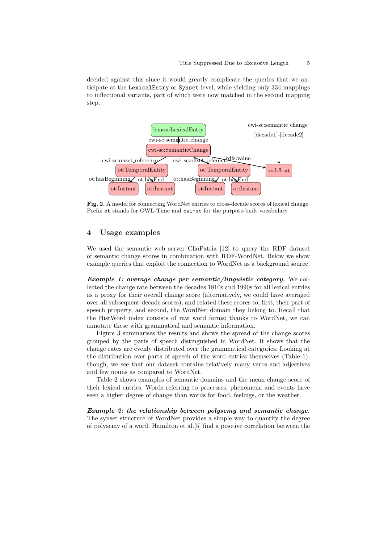decided against this since it would greatly complicate the queries that we anticipate at the LexicalEntry or Synset level, while yielding only 334 mappings to inflectional variants, part of which were now matched in the second mapping step.



Fig. 2. A model for connecting WordNet entries to cross-decade scores of lexical change. Prefix ot stands for OWL-Time and cwi-sc for the purpose-built vocabulary.

#### 4 Usage examples

We used the semantic web server ClioPatria [12] to query the RDF dataset of semantic change scores in combination with RDF-WordNet. Below we show example queries that exploit the connection to WordNet as a background source.

Example 1: average change per semantic/linguistic category. We collected the change rate between the decades 1810s and 1990s for all lexical entries as a proxy for their overall change score (alternatively, we could have averaged over all subsequent-decade scores), and related these scores to, first, their part of speech property, and second, the WordNet domain they belong to. Recall that the HistWord index consists of raw word forms; thanks to WordNet, we can annotate these with grammatical and semantic information.

Figure 3 summarises the results and shows the spread of the change scores grouped by the parts of speech distinguished in WordNet. It shows that the change rates are evenly distributed over the grammatical categories. Looking at the distribution over parts of speech of the word entries themselves (Table 1), though, we see that our dataset contains relatively many verbs and adjectives and few nouns as compared to WordNet.

Table 2 shows examples of semantic domains and the mean change score of their lexical entries. Words referring to processes, phenomena and events have seen a higher degree of change than words for food, feelings, or the weather.

Example 2: the relationship between polysemy and semantic change. The synset structure of WordNet provides a simple way to quantify the degree of polysemy of a word. Hamilton et al.[5] find a positive correlation between the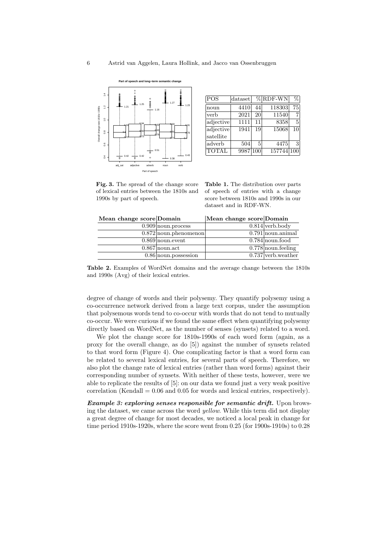

| POS          | dataset  |    | $%$ RDF-WN |                 |
|--------------|----------|----|------------|-----------------|
| noun         | 4410     | 44 | 118303     | 75              |
| verb         | 2021     | 20 | 11540      | 7               |
| adjective    | 1111     | 11 | 8358       | $\vert 5 \vert$ |
| adjective    | 1941     | 19 | 15068      | 10 <sup>1</sup> |
| satellite    |          |    |            |                 |
| adverb       | 504      | 5  | 4475       | $\vert 3 \vert$ |
| <b>TOTAL</b> | 9987 100 |    | 157744 100 |                 |

Fig. 3. The spread of the change score of lexical entries between the 1810s and 1990s by part of speech.

Table 1. The distribution over parts of speech of entries with a change score between 1810s and 1990s in our dataset and in RDF-WN.

| Mean change score Domain |                          | Mean change score Domain |                       |
|--------------------------|--------------------------|--------------------------|-----------------------|
|                          | $0.909$  noun.process    |                          | $0.814$ verb.body     |
|                          | $0.872$  noun.phenomenon |                          | $0.791$  noun.animal  |
|                          | $0.869$  noun.event      |                          | $0.784$ noun.food     |
|                          | $0.867$ noun.act         |                          | $0.778$ noun feeling  |
|                          | $0.86$  noun.possession  |                          | $0.737$ verb. weather |

Table 2. Examples of WordNet domains and the average change between the 1810s and 1990s (Avg) of their lexical entries.

degree of change of words and their polysemy. They quantify polysemy using a co-occurrence network derived from a large text corpus, under the assumption that polysemous words tend to co-occur with words that do not tend to mutually co-occur. We were curious if we found the same effect when quantifying polysemy directly based on WordNet, as the number of senses (synsets) related to a word.

We plot the change score for 1810s-1990s of each word form (again, as a proxy for the overall change, as do [5]) against the number of synsets related to that word form (Figure 4). One complicating factor is that a word form can be related to several lexical entries, for several parts of speech. Therefore, we also plot the change rate of lexical entries (rather than word forms) against their corresponding number of synsets. With neither of these tests, however, were we able to replicate the results of [5]: on our data we found just a very weak positive correlation (Kendall  $= 0.06$  and  $0.05$  for words and lexical entries, respectively).

Example 3: exploring senses responsible for semantic drift. Upon browsing the dataset, we came across the word yellow. While this term did not display a great degree of change for most decades, we noticed a local peak in change for time period 1910s-1920s, where the score went from 0.25 (for 1900s-1910s) to 0.28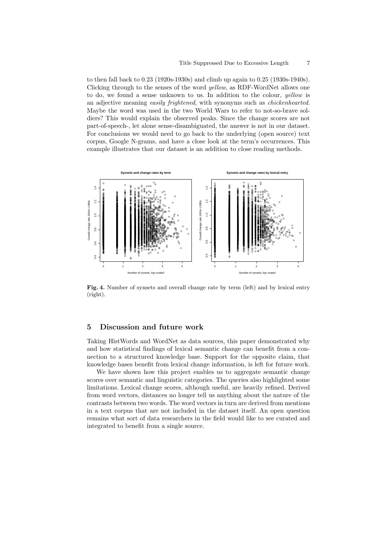to then fall back to 0.23 (1920s-1930s) and climb up again to 0.25 (1930s-1940s). Clicking through to the senses of the word yellow, as RDF-WordNet allows one to do, we found a sense unknown to us. In addition to the colour, yellow is an adjective meaning easily frightened, with synonyms such as chickenhearted. Maybe the word was used in the two World Wars to refer to not-so-brave soldiers? This would explain the observed peaks. Since the change scores are not part-of-speech-, let alone sense-disambiguated, the answer is not in our dataset. For conclusions we would need to go back to the underlying (open source) text corpus, Google N-grams, and have a close look at the term's occurrences. This example illustrates that our dataset is an addition to close reading methods.



Fig. 4. Number of synsets and overall change rate by term (left) and by lexical entry (right).

## 5 Discussion and future work

Taking HistWords and WordNet as data sources, this paper demonstrated why and how statistical findings of lexical semantic change can benefit from a connection to a structured knowledge base. Support for the opposite claim, that knowledge bases benefit from lexical change information, is left for future work.

We have shown how this project enables us to aggregate semantic change scores over semantic and linguistic categories. The queries also highlighted some limitations. Lexical change scores, although useful, are heavily refined. Derived from word vectors, distances no longer tell us anything about the nature of the contrasts between two words. The word vectors in turn are derived from mentions in a text corpus that are not included in the dataset itself. An open question remains what sort of data researchers in the field would like to see curated and integrated to benefit from a single source.